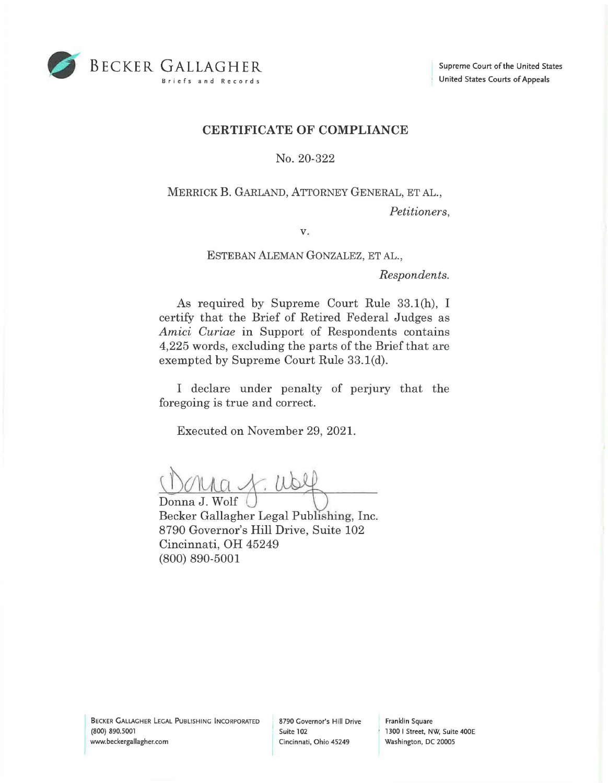

## **CERTIFICATE OF COMPLIANCE**

No. 20-322

MERRICK **B.** GARLAND, ATTORNEY GENERAL, ET AL., *Petitioners,* 

**V.** 

ESTEBAN ALEMAN GONZALEZ, ET AL.,

*Respondents.* 

As required by Supreme Court Rule 33.1(h), I certify that the Brief of Retired Federal Judges as *Amici Curiae* in Support of Respondents contains 4,225 words, excluding the parts of the Brief that are exempted by Supreme Court Rule 33.1(d).

I declare under penalty of perjury that the foregoing is true and correct.

Executed on November 29, 2021.

Donna J. Wolf/ Becker Gallagher Legal Publishing, Inc. 8790 Governor's Hill Drive, Suite 102 Cincinnati, OH 45249 (800) 890-5001